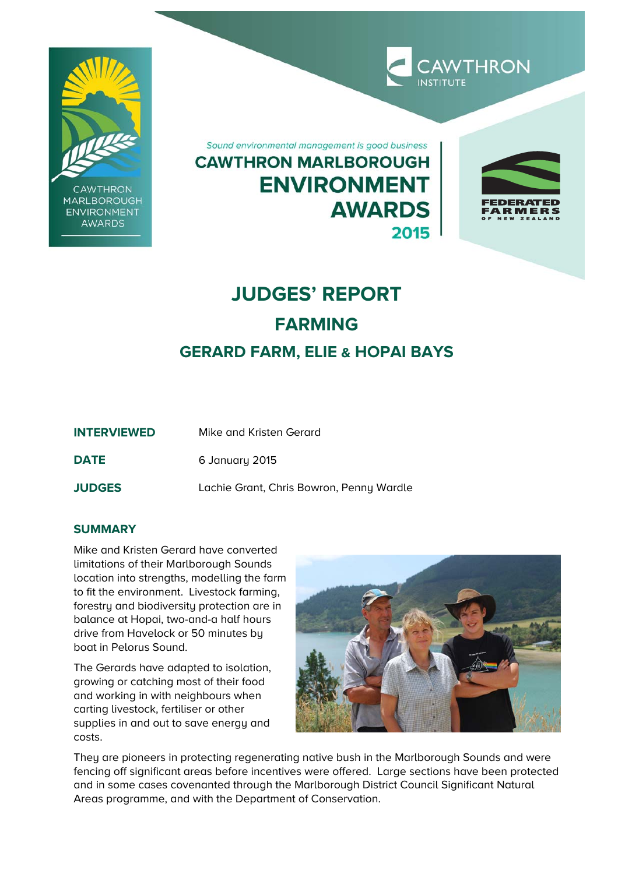

**CAWTHRON MARLBOROUGH ENVIRONMENT** AWARDS

Sound environmental management is good business **CAWTHRON MARLBOROUGH ENVIRONMENT AWARDS** 2015



**CAWTHRON** 

# **JUDGES' REPORT FARMING GERARD FARM, ELIE & HOPAI BAYS**

| <b>INTERVIEWED</b> | Mike and Kristen Gerard                  |
|--------------------|------------------------------------------|
| <b>DATE</b>        | 6 January 2015                           |
| <b>JUDGES</b>      | Lachie Grant, Chris Bowron, Penny Wardle |

# **SUMMARY**

Mike and Kristen Gerard have converted limitations of their Marlborough Sounds location into strengths, modelling the farm to fit the environment. Livestock farming, forestry and biodiversity protection are in balance at Hopai, two-and-a half hours drive from Havelock or 50 minutes by boat in Pelorus Sound.

The Gerards have adapted to isolation, growing or catching most of their food and working in with neighbours when carting livestock, fertiliser or other supplies in and out to save energy and costs.



They are pioneers in protecting regenerating native bush in the Marlborough Sounds and were fencing off significant areas before incentives were offered. Large sections have been protected and in some cases covenanted through the Marlborough District Council Significant Natural Areas programme, and with the Department of Conservation.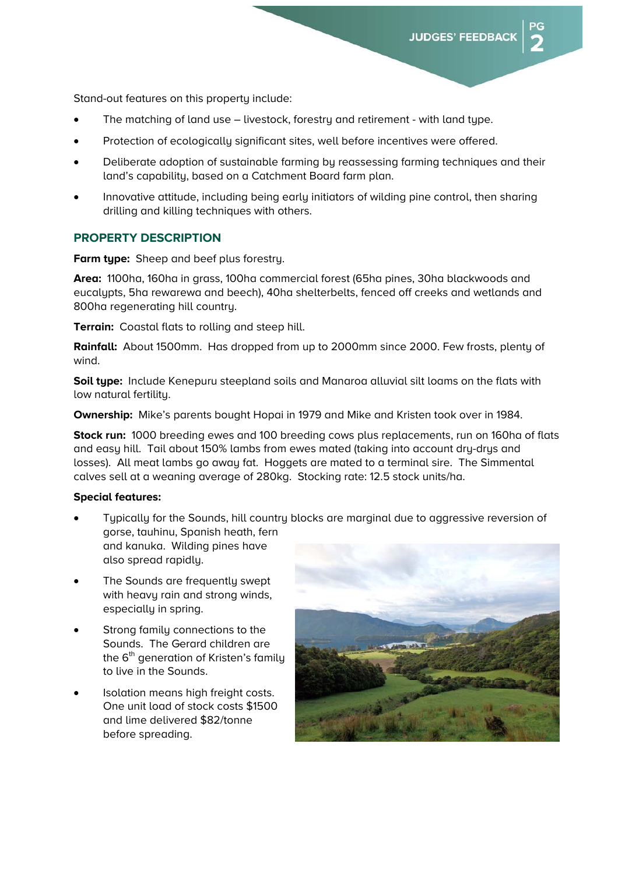Stand-out features on this property include:

- The matching of land use livestock, forestry and retirement with land type.
- Protection of ecologically significant sites, well before incentives were offered.
- Deliberate adoption of sustainable farming by reassessing farming techniques and their land's capability, based on a Catchment Board farm plan.
- Innovative attitude, including being early initiators of wilding pine control, then sharing drilling and killing techniques with others.

## **PROPERTY DESCRIPTION**

**Farm type:** Sheep and beef plus forestry.

**Area:** 1100ha, 160ha in grass, 100ha commercial forest (65ha pines, 30ha blackwoods and eucalypts, 5ha rewarewa and beech), 40ha shelterbelts, fenced off creeks and wetlands and 800ha regenerating hill country.

**Terrain:** Coastal flats to rolling and steep hill.

**Rainfall:** About 1500mm. Has dropped from up to 2000mm since 2000. Few frosts, plenty of wind.

**Soil type:** Include Kenepuru steepland soils and Manaroa alluvial silt loams on the flats with low natural fertility.

**Ownership:** Mike's parents bought Hopai in 1979 and Mike and Kristen took over in 1984.

**Stock run:** 1000 breeding ewes and 100 breeding cows plus replacements, run on 160ha of flats and easy hill. Tail about 150% lambs from ewes mated (taking into account dry-drys and losses). All meat lambs go away fat. Hoggets are mated to a terminal sire. The Simmental calves sell at a weaning average of 280kg. Stocking rate: 12.5 stock units/ha.

## **Special features:**

- Tupically for the Sounds, hill country blocks are marginal due to aggressive reversion of gorse, tauhinu, Spanish heath, fern and kanuka. Wilding pines have also spread rapidly.
- The Sounds are frequently swept with heavy rain and strong winds, especially in spring.
- Strong family connections to the Sounds. The Gerard children are the  $6<sup>th</sup>$  generation of Kristen's family to live in the Sounds.
- Isolation means high freight costs. One unit load of stock costs \$1500 and lime delivered \$82/tonne before spreading.

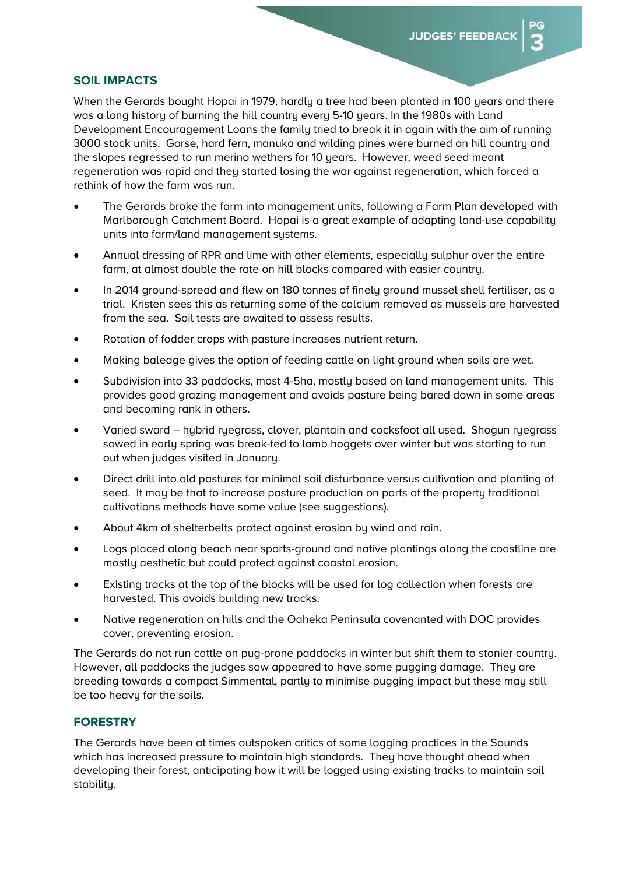## **SOIL IMPACTS**

When the Gerards bought Hopai in 1979, hardly a tree had been planted in 100 years and there was a long history of burning the hill country every 5-10 years. In the 1980s with Land Development Encouragement Loans the family tried to break it in again with the aim of running 3000 stock units. Gorse, hard fern, manuka and wilding pines were burned on hill country and the slopes regressed to run merino wethers for 10 years. However, weed seed meant regeneration was rapid and they started losing the war against regeneration, which forced a rethink of how the farm was run.

- The Gerards broke the farm into management units, following a Farm Plan developed with Marlborough Catchment Board. Hopai is a great example of adapting land-use capability units into farm/land management systems.
- Annual dressing of RPR and lime with other elements, especially sulphur over the entire farm, at almost double the rate on hill blocks compared with easier country.
- In 2014 ground-spread and flew on 180 tonnes of finely ground mussel shell fertiliser, as a trial. Kristen sees this as returning some of the calcium removed as mussels are harvested from the sea. Soil tests are awaited to assess results.
- Rotation of fodder crops with pasture increases nutrient return.
- Making baleage gives the option of feeding cattle on light ground when soils are wet.
- Subdivision into 33 paddocks, most 4-5ha, mostly based on land management units. This provides good grazing management and avoids pasture being bared down in some areas and becoming rank in others.
- Varied sward hybrid ryegrass, clover, plantain and cocksfoot all used. Shogun ryegrass sowed in early spring was break-fed to lamb hoggets over winter but was starting to run out when judges visited in January.
- Direct drill into old pastures for minimal soil disturbance versus cultivation and planting of seed. It may be that to increase pasture production on parts of the property traditional cultivations methods have some value (see suggestions).
- About 4km of shelterbelts protect against erosion by wind and rain.
- Logs placed along beach near sports-ground and native plantings along the coastline are mostly aesthetic but could protect against coastal erosion.
- Existing tracks at the top of the blocks will be used for log collection when forests are harvested. This avoids building new tracks.
- Native regeneration on hills and the Oaheka Peninsula covenanted with DOC provides cover, preventing erosion.

The Gerards do not run cattle on pug-prone paddocks in winter but shift them to stonier country. However, all paddocks the judges saw appeared to have some pugging damage. They are breeding towards a compact Simmental, partly to minimise pugging impact but these may still be too heavy for the soils.

# **FORESTRY**

The Gerards have been at times outspoken critics of some logging practices in the Sounds which has increased pressure to maintain high standards. They have thought ahead when developing their forest, anticipating how it will be logged using existing tracks to maintain soil stability.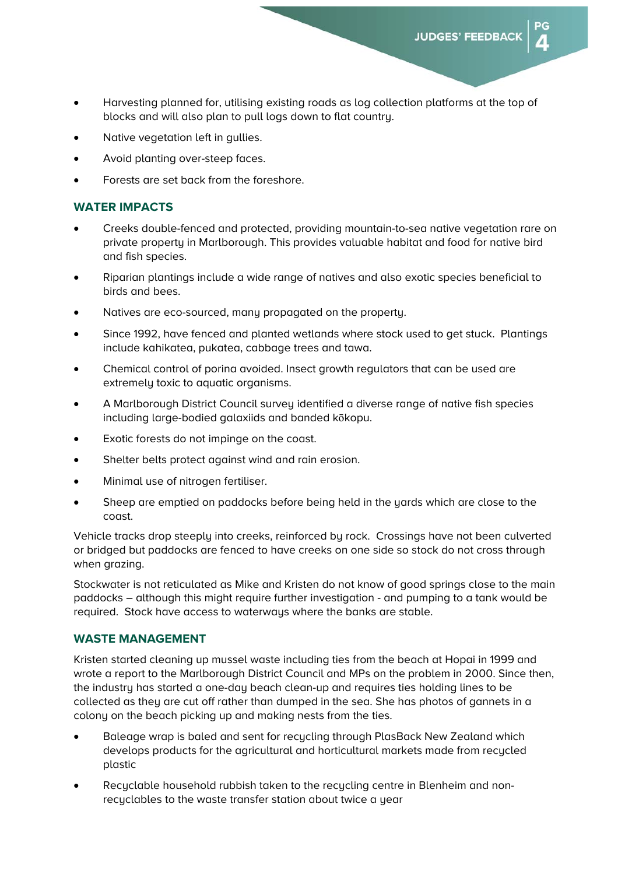- Harvesting planned for, utilising existing roads as log collection platforms at the top of blocks and will also plan to pull logs down to flat country.
- Native vegetation left in gullies.
- Avoid planting over-steep faces.
- Forests are set back from the foreshore.

## **WATER IMPACTS**

- Creeks double-fenced and protected, providing mountain-to-sea native vegetation rare on private property in Marlborough. This provides valuable habitat and food for native bird and fish species.
- Riparian plantings include a wide range of natives and also exotic species beneficial to birds and bees.
- Natives are eco-sourced, many propagated on the property.
- Since 1992, have fenced and planted wetlands where stock used to get stuck. Plantings include kahikatea, pukatea, cabbage trees and tawa.
- Chemical control of porina avoided. Insect growth regulators that can be used are extremely toxic to aquatic organisms.
- A Marlborough District Council survey identified a diverse range of native fish species including large-bodied galaxiids and banded kōkopu.
- Exotic forests do not impinge on the coast.
- Shelter belts protect against wind and rain erosion.
- Minimal use of nitrogen fertiliser.
- Sheep are emptied on paddocks before being held in the yards which are close to the coast.

Vehicle tracks drop steeply into creeks, reinforced by rock. Crossings have not been culverted or bridged but paddocks are fenced to have creeks on one side so stock do not cross through when grazing.

Stockwater is not reticulated as Mike and Kristen do not know of good springs close to the main paddocks – although this might require further investigation - and pumping to a tank would be required. Stock have access to waterways where the banks are stable.

## **WASTE MANAGEMENT**

Kristen started cleaning up mussel waste including ties from the beach at Hopai in 1999 and wrote a report to the Marlborough District Council and MPs on the problem in 2000. Since then, the industry has started a one-day beach clean-up and requires ties holding lines to be collected as they are cut off rather than dumped in the sea. She has photos of gannets in a colony on the beach picking up and making nests from the ties.

- Baleage wrap is baled and sent for recycling through PlasBack New Zealand which develops products for the agricultural and horticultural markets made from recycled plastic
- Recyclable household rubbish taken to the recycling centre in Blenheim and nonrecyclables to the waste transfer station about twice a year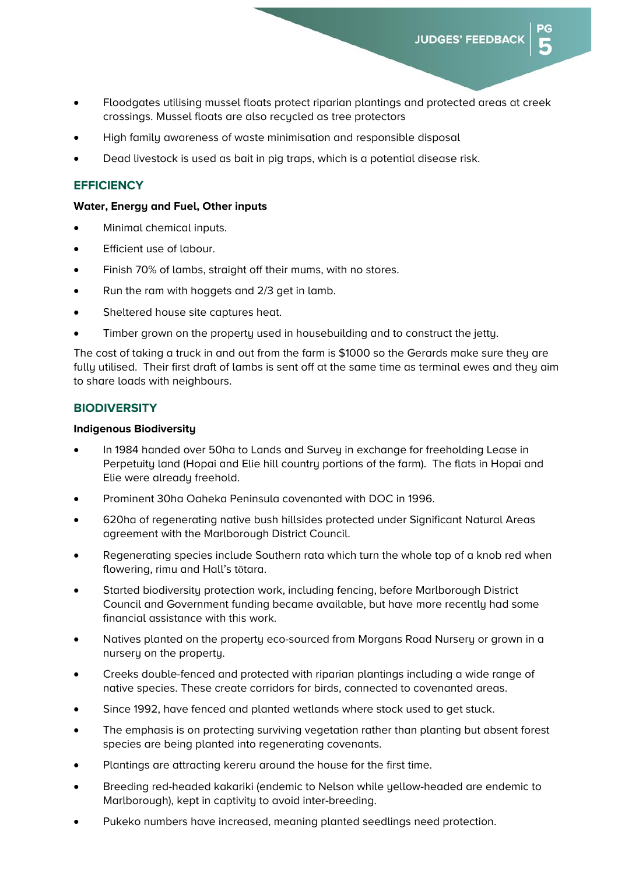- Floodgates utilising mussel floats protect riparian plantings and protected areas at creek crossings. Mussel floats are also recycled as tree protectors
- High family awareness of waste minimisation and responsible disposal
- Dead livestock is used as bait in pig traps, which is a potential disease risk.

# **EFFICIENCY**

#### **Water, Energy and Fuel, Other inputs**

- Minimal chemical inputs.
- Efficient use of labour.
- Finish 70% of lambs, straight off their mums, with no stores.
- Run the ram with hoggets and 2/3 get in lamb.
- Sheltered house site captures heat.
- Timber grown on the property used in housebuilding and to construct the jetty.

The cost of taking a truck in and out from the farm is \$1000 so the Gerards make sure they are fully utilised. Their first draft of lambs is sent off at the same time as terminal ewes and they aim to share loads with neighbours.

## **BIODIVERSITY**

## **Indigenous Biodiversity**

- In 1984 handed over 50ha to Lands and Survey in exchange for freeholding Lease in Perpetuity land (Hopai and Elie hill country portions of the farm). The flats in Hopai and Elie were already freehold.
- Prominent 30ha Oaheka Peninsula covenanted with DOC in 1996.
- 620ha of regenerating native bush hillsides protected under Significant Natural Areas agreement with the Marlborough District Council.
- Regenerating species include Southern rata which turn the whole top of a knob red when flowering, rimu and Hall's tōtara.
- Started biodiversity protection work, including fencing, before Marlborough District Council and Government funding became available, but have more recently had some financial assistance with this work.
- Natives planted on the property eco-sourced from Morgans Road Nursery or grown in a nursery on the property.
- Creeks double-fenced and protected with riparian plantings including a wide range of native species. These create corridors for birds, connected to covenanted areas.
- Since 1992, have fenced and planted wetlands where stock used to get stuck.
- The emphasis is on protecting surviving vegetation rather than planting but absent forest species are being planted into regenerating covenants.
- Plantings are attracting kereru around the house for the first time.
- Breeding red-headed kakariki (endemic to Nelson while yellow-headed are endemic to Marlborough), kept in captivity to avoid inter-breeding.
- Pukeko numbers have increased, meaning planted seedlings need protection.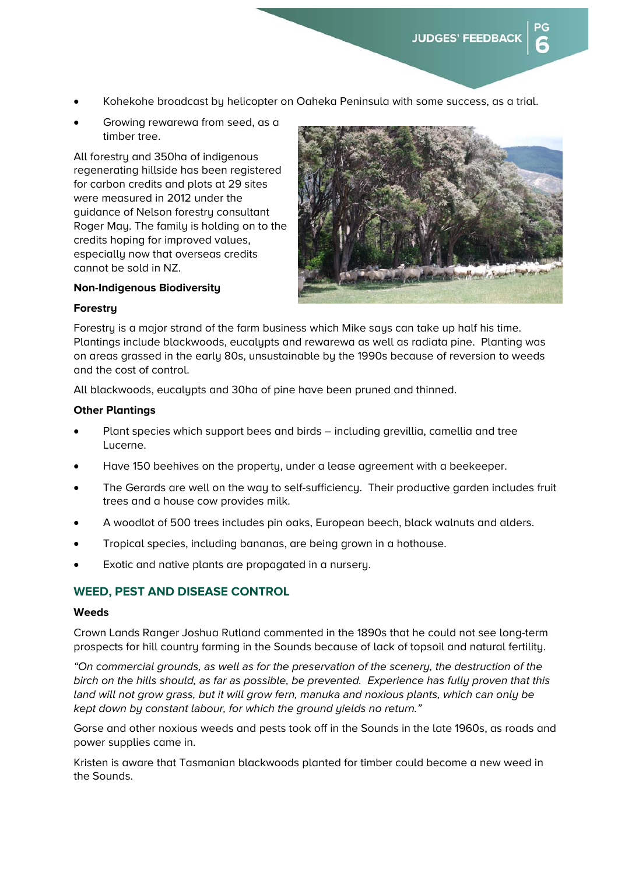- Kohekohe broadcast by helicopter on Oaheka Peninsula with some success, as a trial.
- Growing rewarewa from seed, as a timber tree.

All forestry and 350ha of indigenous regenerating hillside has been registered for carbon credits and plots at 29 sites were measured in 2012 under the guidance of Nelson forestry consultant Roger May. The family is holding on to the credits hoping for improved values, especially now that overseas credits cannot be sold in NZ.



# **Non-Indigenous Biodiversity**

## **Forestry**

Forestry is a major strand of the farm business which Mike says can take up half his time. Plantings include blackwoods, eucalypts and rewarewa as well as radiata pine. Planting was on areas grassed in the early 80s, unsustainable by the 1990s because of reversion to weeds and the cost of control.

All blackwoods, eucalypts and 30ha of pine have been pruned and thinned.

## **Other Plantings**

- Plant species which support bees and birds including grevillia, camellia and tree Lucerne.
- Have 150 beehives on the property, under a lease agreement with a beekeeper.
- The Gerards are well on the way to self-sufficiency. Their productive garden includes fruit trees and a house cow provides milk.
- A woodlot of 500 trees includes pin oaks, European beech, black walnuts and alders.
- Tropical species, including bananas, are being grown in a hothouse.
- Exotic and native plants are propagated in a nursery.

## **WEED, PEST AND DISEASE CONTROL**

## **Weeds**

Crown Lands Ranger Joshua Rutland commented in the 1890s that he could not see long-term prospects for hill country farming in the Sounds because of lack of topsoil and natural fertility.

*"On commercial grounds, as well as for the preservation of the scenery, the destruction of the birch on the hills should, as far as possible, be prevented. Experience has fully proven that this land will not grow grass, but it will grow fern, manuka and noxious plants, which can only be kept down by constant labour, for which the ground yields no return."* 

Gorse and other noxious weeds and pests took off in the Sounds in the late 1960s, as roads and power supplies came in.

Kristen is aware that Tasmanian blackwoods planted for timber could become a new weed in the Sounds.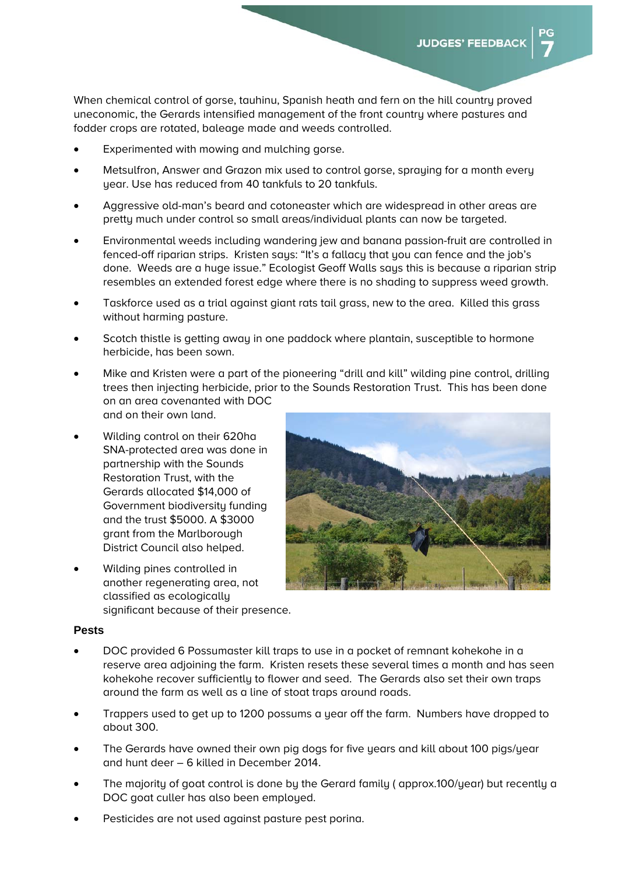When chemical control of gorse, tauhinu, Spanish heath and fern on the hill country proved uneconomic, the Gerards intensified management of the front country where pastures and fodder crops are rotated, baleage made and weeds controlled.

- Experimented with mowing and mulching gorse.
- Metsulfron, Answer and Grazon mix used to control gorse, spraying for a month every year. Use has reduced from 40 tankfuls to 20 tankfuls.
- Aggressive old-man's beard and cotoneaster which are widespread in other areas are pretty much under control so small areas/individual plants can now be targeted.
- Environmental weeds including wandering jew and banana passion-fruit are controlled in fenced-off riparian strips. Kristen says: "It's a fallacy that you can fence and the job's done. Weeds are a huge issue." Ecologist Geoff Walls says this is because a riparian strip resembles an extended forest edge where there is no shading to suppress weed growth.
- Taskforce used as a trial against giant rats tail grass, new to the area. Killed this grass without harming pasture.
- Scotch thistle is getting away in one paddock where plantain, susceptible to hormone herbicide, has been sown.
- Mike and Kristen were a part of the pioneering "drill and kill" wilding pine control, drilling trees then injecting herbicide, prior to the Sounds Restoration Trust. This has been done on an area covenanted with DOC and on their own land.
- Wilding control on their 620ha SNA-protected area was done in partnership with the Sounds Restoration Trust, with the Gerards allocated \$14,000 of Government biodiversity funding and the trust \$5000. A \$3000 grant from the Marlborough District Council also helped.
- Wilding pines controlled in another regenerating area, not classified as ecologically significant because of their presence.



## **Pests**

- DOC provided 6 Possumaster kill traps to use in a pocket of remnant kohekohe in a reserve area adjoining the farm. Kristen resets these several times a month and has seen kohekohe recover sufficiently to flower and seed. The Gerards also set their own traps around the farm as well as a line of stoat traps around roads.
- Trappers used to get up to 1200 possums a year off the farm. Numbers have dropped to about 300.
- The Gerards have owned their own pig dogs for five years and kill about 100 pigs/year and hunt deer – 6 killed in December 2014.
- The majority of goat control is done by the Gerard family ( approx.100/year) but recently a DOC goat culler has also been employed.
- Pesticides are not used against pasture pest porina.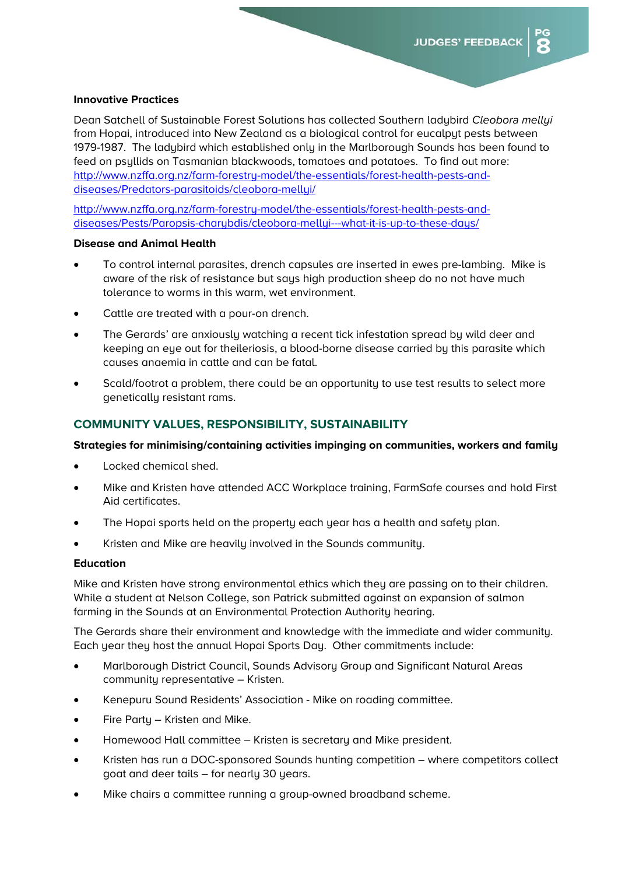## **Innovative Practices**

Dean Satchell of Sustainable Forest Solutions has collected Southern ladybird *Cleobora mellyi* from Hopai, introduced into New Zealand as a biological control for eucalpyt pests between 1979-1987. The ladybird which established only in the Marlborough Sounds has been found to feed on psyllids on Tasmanian blackwoods, tomatoes and potatoes. To find out more: http://www.nzffa.org.nz/farm-forestry-model/the-essentials/forest-health-pests-anddiseases/Predators-parasitoids/cleobora-mellyi/

http://www.nzffa.org.nz/farm-forestry-model/the-essentials/forest-health-pests-anddiseases/Pests/Paropsis-charybdis/cleobora-mellyi---what-it-is-up-to-these-days/

## **Disease and Animal Health**

- To control internal parasites, drench capsules are inserted in ewes pre-lambing. Mike is aware of the risk of resistance but says high production sheep do no not have much tolerance to worms in this warm, wet environment.
- Cattle are treated with a pour-on drench.
- The Gerards' are anxiously watching a recent tick infestation spread by wild deer and keeping an eye out for theileriosis, a blood-borne disease carried by this parasite which causes anaemia in cattle and can be fatal.
- Scald/footrot a problem, there could be an opportunity to use test results to select more genetically resistant rams.

## **COMMUNITY VALUES, RESPONSIBILITY, SUSTAINABILITY**

## **Strategies for minimising/containing activities impinging on communities, workers and family**

- Locked chemical shed.
- Mike and Kristen have attended ACC Workplace training, FarmSafe courses and hold First Aid certificates.
- The Hopai sports held on the property each year has a health and safety plan.
- Kristen and Mike are heavily involved in the Sounds community.

#### **Education**

Mike and Kristen have strong environmental ethics which they are passing on to their children. While a student at Nelson College, son Patrick submitted against an expansion of salmon farming in the Sounds at an Environmental Protection Authority hearing.

The Gerards share their environment and knowledge with the immediate and wider community. Each year they host the annual Hopai Sports Day. Other commitments include:

- Marlborough District Council, Sounds Advisory Group and Significant Natural Areas community representative – Kristen.
- Kenepuru Sound Residents' Association Mike on roading committee.
- Fire Party Kristen and Mike.
- Homewood Hall committee Kristen is secretary and Mike president.
- Kristen has run a DOC-sponsored Sounds hunting competition where competitors collect goat and deer tails – for nearly 30 years.
- Mike chairs a committee running a group-owned broadband scheme.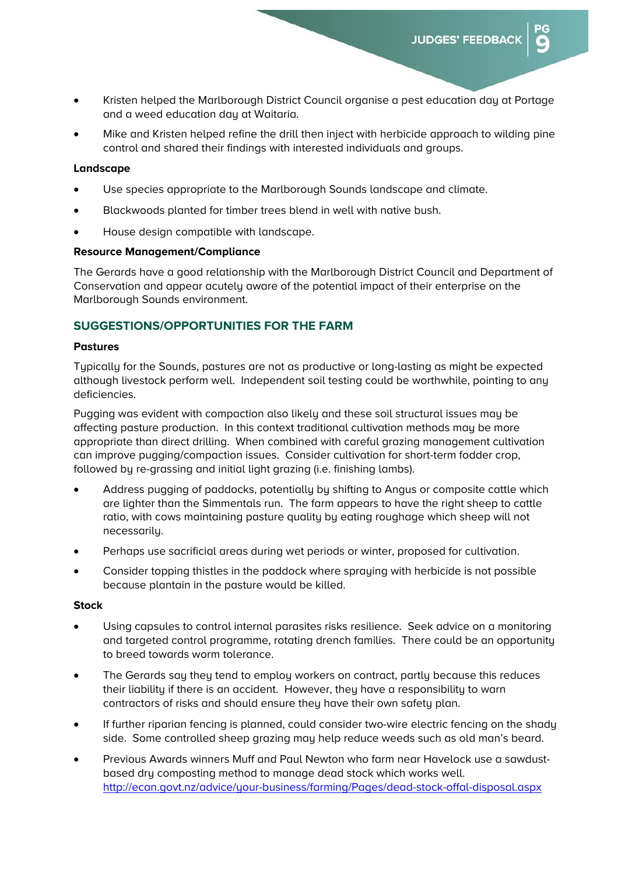- Kristen helped the Marlborough District Council organise a pest education day at Portage and a weed education day at Waitaria.
- Mike and Kristen helped refine the drill then inject with herbicide approach to wilding pine control and shared their findings with interested individuals and groups.

## **Landscape**

- Use species appropriate to the Marlborough Sounds landscape and climate.
- Blackwoods planted for timber trees blend in well with native bush.
- House design compatible with landscape.

## **Resource Management/Compliance**

The Gerards have a good relationship with the Marlborough District Council and Department of Conservation and appear acutely aware of the potential impact of their enterprise on the Marlborough Sounds environment.

# **SUGGESTIONS/OPPORTUNITIES FOR THE FARM**

## **Pastures**

Typically for the Sounds, pastures are not as productive or long-lasting as might be expected although livestock perform well. Independent soil testing could be worthwhile, pointing to any deficiencies.

Pugging was evident with compaction also likely and these soil structural issues may be affecting pasture production. In this context traditional cultivation methods may be more appropriate than direct drilling. When combined with careful grazing management cultivation can improve pugging/compaction issues. Consider cultivation for short-term fodder crop, followed by re-grassing and initial light grazing (i.e. finishing lambs).

- Address pugging of paddocks, potentially by shifting to Angus or composite cattle which are lighter than the Simmentals run. The farm appears to have the right sheep to cattle ratio, with cows maintaining pasture quality by eating roughage which sheep will not necessarily.
- Perhaps use sacrificial areas during wet periods or winter, proposed for cultivation.
- Consider topping thistles in the paddock where spraying with herbicide is not possible because plantain in the pasture would be killed.

## **Stock**

- Using capsules to control internal parasites risks resilience. Seek advice on a monitoring and targeted control programme, rotating drench families. There could be an opportunity to breed towards worm tolerance.
- The Gerards say they tend to employ workers on contract, partly because this reduces their liability if there is an accident. However, they have a responsibility to warn contractors of risks and should ensure they have their own safety plan.
- If further riparian fencing is planned, could consider two-wire electric fencing on the shady side. Some controlled sheep grazing may help reduce weeds such as old man's beard.
- Previous Awards winners Muff and Paul Newton who farm near Havelock use a sawdustbased dry composting method to manage dead stock which works well. http://ecan.govt.nz/advice/your-business/farming/Pages/dead-stock-offal-disposal.aspx